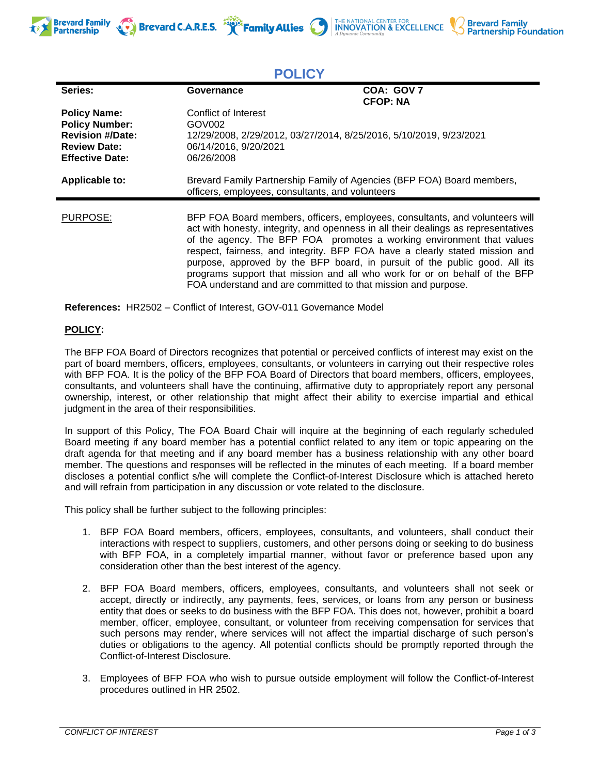







| <b>POLICY</b>                                                                                                            |                                                                                                                                                         |                                                                                                                                                                                                                                                                                                                                                                                                                                                                                        |
|--------------------------------------------------------------------------------------------------------------------------|---------------------------------------------------------------------------------------------------------------------------------------------------------|----------------------------------------------------------------------------------------------------------------------------------------------------------------------------------------------------------------------------------------------------------------------------------------------------------------------------------------------------------------------------------------------------------------------------------------------------------------------------------------|
| Series:                                                                                                                  | Governance                                                                                                                                              | COA: GOV 7<br><b>CFOP: NA</b>                                                                                                                                                                                                                                                                                                                                                                                                                                                          |
| <b>Policy Name:</b><br><b>Policy Number:</b><br><b>Revision #/Date:</b><br><b>Review Date:</b><br><b>Effective Date:</b> | Conflict of Interest<br>GOV <sub>002</sub><br>12/29/2008, 2/29/2012, 03/27/2014, 8/25/2016, 5/10/2019, 9/23/2021<br>06/14/2016, 9/20/2021<br>06/26/2008 |                                                                                                                                                                                                                                                                                                                                                                                                                                                                                        |
| <b>Applicable to:</b>                                                                                                    | Brevard Family Partnership Family of Agencies (BFP FOA) Board members,<br>officers, employees, consultants, and volunteers                              |                                                                                                                                                                                                                                                                                                                                                                                                                                                                                        |
| PURPOSE:                                                                                                                 | FOA understand and are committed to that mission and purpose.                                                                                           | BFP FOA Board members, officers, employees, consultants, and volunteers will<br>act with honesty, integrity, and openness in all their dealings as representatives<br>of the agency. The BFP FOA promotes a working environment that values<br>respect, fairness, and integrity. BFP FOA have a clearly stated mission and<br>purpose, approved by the BFP board, in pursuit of the public good. All its<br>programs support that mission and all who work for or on behalf of the BFP |

**References:** HR2502 – Conflict of Interest, GOV-011 Governance Model

## **POLICY:**

The BFP FOA Board of Directors recognizes that potential or perceived conflicts of interest may exist on the part of board members, officers, employees, consultants, or volunteers in carrying out their respective roles with BFP FOA. It is the policy of the BFP FOA Board of Directors that board members, officers, employees, consultants, and volunteers shall have the continuing, affirmative duty to appropriately report any personal ownership, interest, or other relationship that might affect their ability to exercise impartial and ethical judgment in the area of their responsibilities.

In support of this Policy, The FOA Board Chair will inquire at the beginning of each regularly scheduled Board meeting if any board member has a potential conflict related to any item or topic appearing on the draft agenda for that meeting and if any board member has a business relationship with any other board member. The questions and responses will be reflected in the minutes of each meeting. If a board member discloses a potential conflict s/he will complete the Conflict-of-Interest Disclosure which is attached hereto and will refrain from participation in any discussion or vote related to the disclosure.

This policy shall be further subject to the following principles:

- 1. BFP FOA Board members, officers, employees, consultants, and volunteers, shall conduct their interactions with respect to suppliers, customers, and other persons doing or seeking to do business with BFP FOA, in a completely impartial manner, without favor or preference based upon any consideration other than the best interest of the agency.
- 2. BFP FOA Board members, officers, employees, consultants, and volunteers shall not seek or accept, directly or indirectly, any payments, fees, services, or loans from any person or business entity that does or seeks to do business with the BFP FOA. This does not, however, prohibit a board member, officer, employee, consultant, or volunteer from receiving compensation for services that such persons may render, where services will not affect the impartial discharge of such person's duties or obligations to the agency. All potential conflicts should be promptly reported through the Conflict-of-Interest Disclosure.
- 3. Employees of BFP FOA who wish to pursue outside employment will follow the Conflict-of-Interest procedures outlined in HR 2502.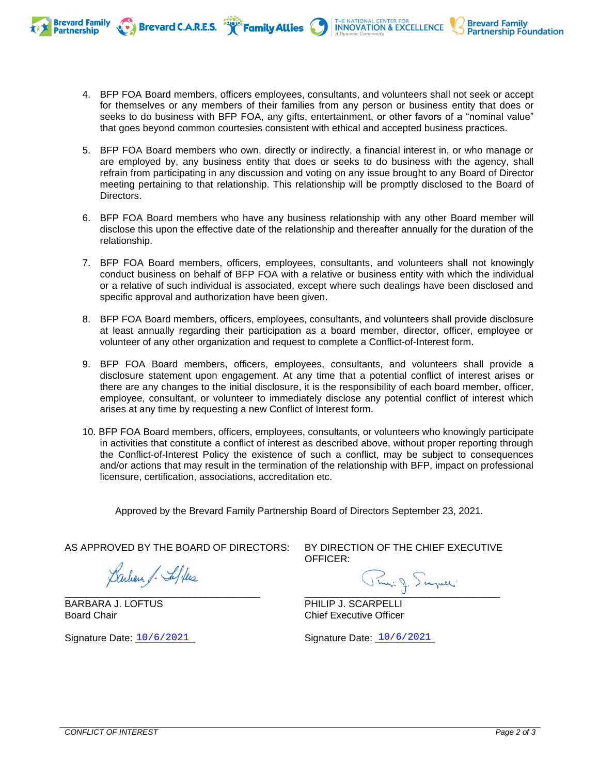4. BFP FOA Board members, officers employees, consultants, and volunteers shall not seek or accept for themselves or any members of their families from any person or business entity that does or seeks to do business with BFP FOA, any gifts, entertainment, or other favors of a "nominal value" that goes beyond common courtesies consistent with ethical and accepted business practices.

Brevard C.A.R.E.S. **The Family Allies** 

THE NATIONAL CENTER FOR **INNOVATION & EXCELLENCE** 

**Brevard Family<br>Partnership Foundation** 

- 5. BFP FOA Board members who own, directly or indirectly, a financial interest in, or who manage or are employed by, any business entity that does or seeks to do business with the agency, shall refrain from participating in any discussion and voting on any issue brought to any Board of Director meeting pertaining to that relationship. This relationship will be promptly disclosed to the Board of Directors.
- 6. BFP FOA Board members who have any business relationship with any other Board member will disclose this upon the effective date of the relationship and thereafter annually for the duration of the relationship.
- 7. BFP FOA Board members, officers, employees, consultants, and volunteers shall not knowingly conduct business on behalf of BFP FOA with a relative or business entity with which the individual or a relative of such individual is associated, except where such dealings have been disclosed and specific approval and authorization have been given.
- 8. BFP FOA Board members, officers, employees, consultants, and volunteers shall provide disclosure at least annually regarding their participation as a board member, director, officer, employee or volunteer of any other organization and request to complete a Conflict-of-Interest form.
- 9. BFP FOA Board members, officers, employees, consultants, and volunteers shall provide a disclosure statement upon engagement. At any time that a potential conflict of interest arises or there are any changes to the initial disclosure, it is the responsibility of each board member, officer, employee, consultant, or volunteer to immediately disclose any potential conflict of interest which arises at any time by requesting a new Conflict of Interest form.
- 10. BFP FOA Board members, officers, employees, consultants, or volunteers who knowingly participate in activities that constitute a conflict of interest as described above, without proper reporting through the Conflict-of-Interest Policy the existence of such a conflict, may be subject to consequences and/or actions that may result in the termination of the relationship with BFP, impact on professional licensure, certification, associations, accreditation etc.

Approved by the Brevard Family Partnership Board of Directors September 23, 2021.

AS APPROVED BY THE BOARD OF DIRECTORS:

Barbara J. Seffers \_\_\_\_\_\_\_\_\_\_\_\_\_\_\_\_\_\_\_\_\_\_\_\_\_\_\_\_\_\_\_\_\_\_\_\_

BARBARA J. LOFTUS Board Chair

**Brevard Family Partnership** 

Signature Date:  $10/6/2021$ 

BY DIRECTION OF THE CHIEF EXECUTIVE OFFICER:

Ping: J. Scapel

PHILIP J. SCARPELLI Chief Executive Officer

Signature Date: 10/6/2021